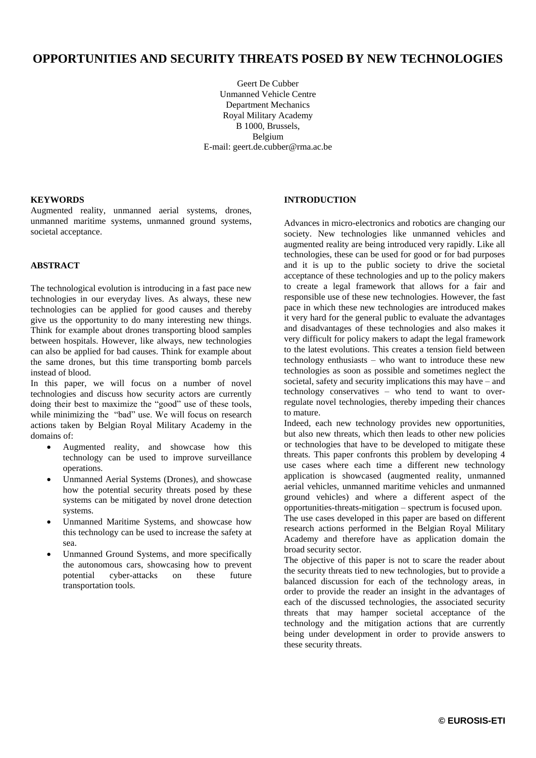# **OPPORTUNITIES AND SECURITY THREATS POSED BY NEW TECHNOLOGIES**

Geert De Cubber Unmanned Vehicle Centre Department Mechanics Royal Military Academy B 1000, Brussels, Belgium E-mail: geert.de.cubber@rma.ac.be

#### **KEYWORDS**

Augmented reality, unmanned aerial systems, drones, unmanned maritime systems, unmanned ground systems, societal acceptance.

#### **ABSTRACT**

The technological evolution is introducing in a fast pace new technologies in our everyday lives. As always, these new technologies can be applied for good causes and thereby give us the opportunity to do many interesting new things. Think for example about drones transporting blood samples between hospitals. However, like always, new technologies can also be applied for bad causes. Think for example about the same drones, but this time transporting bomb parcels instead of blood.

In this paper, we will focus on a number of novel technologies and discuss how security actors are currently doing their best to maximize the "good" use of these tools, while minimizing the "bad" use. We will focus on research actions taken by Belgian Royal Military Academy in the domains of:

- Augmented reality, and showcase how this technology can be used to improve surveillance operations.
- Unmanned Aerial Systems (Drones), and showcase how the potential security threats posed by these systems can be mitigated by novel drone detection systems.
- Unmanned Maritime Systems, and showcase how this technology can be used to increase the safety at sea.
- Unmanned Ground Systems, and more specifically the autonomous cars, showcasing how to prevent potential cyber-attacks on these future transportation tools.

#### **INTRODUCTION**

Advances in micro-electronics and robotics are changing our society. New technologies like unmanned vehicles and augmented reality are being introduced very rapidly. Like all technologies, these can be used for good or for bad purposes and it is up to the public society to drive the societal acceptance of these technologies and up to the policy makers to create a legal framework that allows for a fair and responsible use of these new technologies. However, the fast pace in which these new technologies are introduced makes it very hard for the general public to evaluate the advantages and disadvantages of these technologies and also makes it very difficult for policy makers to adapt the legal framework to the latest evolutions. This creates a tension field between technology enthusiasts – who want to introduce these new technologies as soon as possible and sometimes neglect the societal, safety and security implications this may have – and technology conservatives – who tend to want to overregulate novel technologies, thereby impeding their chances to mature.

Indeed, each new technology provides new opportunities, but also new threats, which then leads to other new policies or technologies that have to be developed to mitigate these threats. This paper confronts this problem by developing 4 use cases where each time a different new technology application is showcased (augmented reality, unmanned aerial vehicles, unmanned maritime vehicles and unmanned ground vehicles) and where a different aspect of the opportunities-threats-mitigation – spectrum is focused upon.

The use cases developed in this paper are based on different research actions performed in the Belgian Royal Military Academy and therefore have as application domain the broad security sector.

The objective of this paper is not to scare the reader about the security threats tied to new technologies, but to provide a balanced discussion for each of the technology areas, in order to provide the reader an insight in the advantages of each of the discussed technologies, the associated security threats that may hamper societal acceptance of the technology and the mitigation actions that are currently being under development in order to provide answers to these security threats.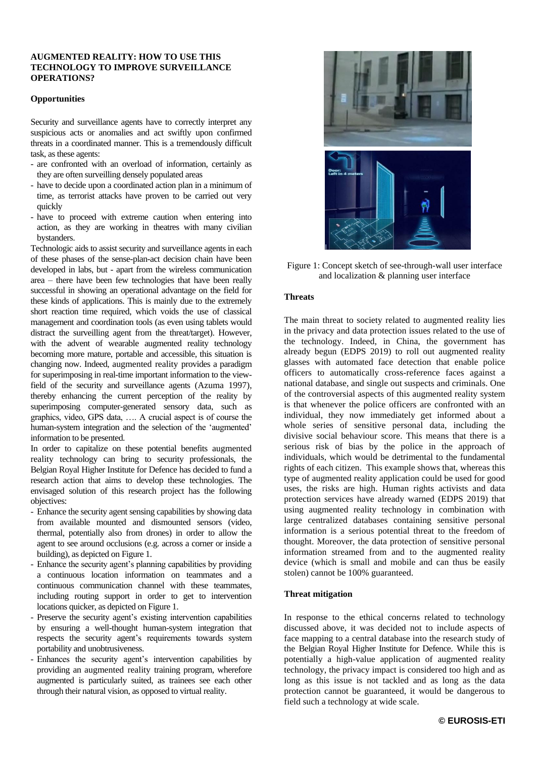### **AUGMENTED REALITY: HOW TO USE THIS TECHNOLOGY TO IMPROVE SURVEILLANCE OPERATIONS?**

#### **Opportunities**

Security and surveillance agents have to correctly interpret any suspicious acts or anomalies and act swiftly upon confirmed threats in a coordinated manner. This is a tremendously difficult task, as these agents:

- are confronted with an overload of information, certainly as they are often surveilling densely populated areas
- have to decide upon a coordinated action plan in a minimum of time, as terrorist attacks have proven to be carried out very quickly
- have to proceed with extreme caution when entering into action, as they are working in theatres with many civilian bystanders.

Technologic aids to assist security and surveillance agents in each of these phases of the sense-plan-act decision chain have been developed in labs, but - apart from the wireless communication area – there have been few technologies that have been really successful in showing an operational advantage on the field for these kinds of applications. This is mainly due to the extremely short reaction time required, which voids the use of classical management and coordination tools (as even using tablets would distract the surveilling agent from the threat/target). However, with the advent of wearable augmented reality technology becoming more mature, portable and accessible, this situation is changing now. Indeed, augmented reality provides a paradigm for superimposing in real-time important information to the viewfield of the security and surveillance agents (Azuma 1997), thereby enhancing the current perception of the reality by superimposing computer-generated sensory data, such as graphics, video, GPS data, …. A crucial aspect is of course the human-system integration and the selection of the 'augmented' information to be presented.

In order to capitalize on these potential benefits augmented reality technology can bring to security professionals, the Belgian Royal Higher Institute for Defence has decided to fund a research action that aims to develop these technologies. The envisaged solution of this research project has the following objectives:

- Enhance the security agent sensing capabilities by showing data from available mounted and dismounted sensors (video, thermal, potentially also from drones) in order to allow the agent to see around occlusions (e.g. across a corner or inside a building), as depicted on Figure 1.
- Enhance the security agent's planning capabilities by providing a continuous location information on teammates and a continuous communication channel with these teammates, including routing support in order to get to intervention locations quicker, as depicted on Figure 1.
- Preserve the security agent's existing intervention capabilities by ensuring a well-thought human-system integration that respects the security agent's requirements towards system portability and unobtrusiveness.
- Enhances the security agent's intervention capabilities by providing an augmented reality training program, wherefore augmented is particularly suited, as trainees see each other through their natural vision, as opposed to virtual reality.



Figure 1: Concept sketch of see-through-wall user interface and localization & planning user interface

### **Threats**

The main threat to society related to augmented reality lies in the privacy and data protection issues related to the use of the technology. Indeed, in China, the government has already begun (EDPS 2019) to roll out augmented reality glasses with automated face detection that enable police officers to automatically cross-reference faces against a national database, and single out suspects and criminals. One of the controversial aspects of this augmented reality system is that whenever the police officers are confronted with an individual, they now immediately get informed about a whole series of sensitive personal data, including the divisive social behaviour score. This means that there is a serious risk of bias by the police in the approach of individuals, which would be detrimental to the fundamental rights of each citizen. This example shows that, whereas this type of augmented reality application could be used for good uses, the risks are high. Human rights activists and data protection services have already warned (EDPS 2019) that using augmented reality technology in combination with large centralized databases containing sensitive personal information is a serious potential threat to the freedom of thought. Moreover, the data protection of sensitive personal information streamed from and to the augmented reality device (which is small and mobile and can thus be easily stolen) cannot be 100% guaranteed.

#### **Threat mitigation**

In response to the ethical concerns related to technology discussed above, it was decided not to include aspects of face mapping to a central database into the research study of the Belgian Royal Higher Institute for Defence. While this is potentially a high-value application of augmented reality technology, the privacy impact is considered too high and as long as this issue is not tackled and as long as the data protection cannot be guaranteed, it would be dangerous to field such a technology at wide scale.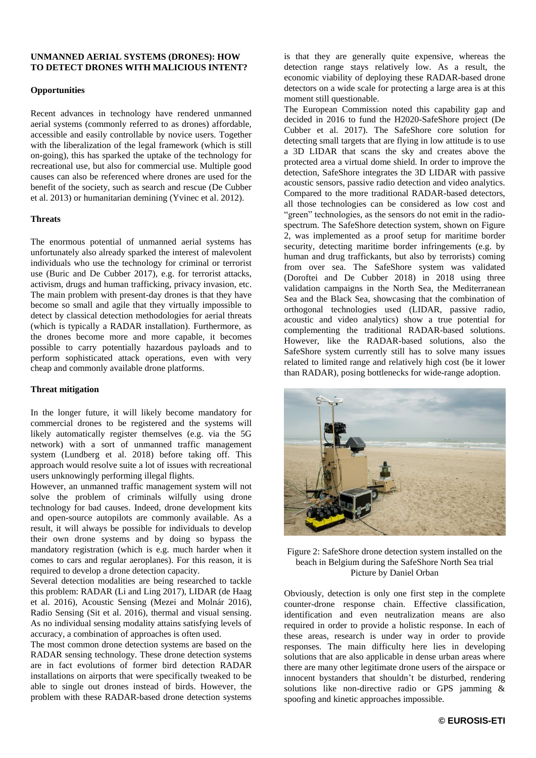#### **UNMANNED AERIAL SYSTEMS (DRONES): HOW TO DETECT DRONES WITH MALICIOUS INTENT?**

#### **Opportunities**

Recent advances in technology have rendered unmanned aerial systems (commonly referred to as drones) affordable, accessible and easily controllable by novice users. Together with the liberalization of the legal framework (which is still on-going), this has sparked the uptake of the technology for recreational use, but also for commercial use. Multiple good causes can also be referenced where drones are used for the benefit of the society, such as search and rescue (De Cubber et al. 2013) or humanitarian demining (Yvinec et al. 2012).

#### **Threats**

The enormous potential of unmanned aerial systems has unfortunately also already sparked the interest of malevolent individuals who use the technology for criminal or terrorist use (Buric and De Cubber 2017), e.g. for terrorist attacks, activism, drugs and human trafficking, privacy invasion, etc. The main problem with present-day drones is that they have become so small and agile that they virtually impossible to detect by classical detection methodologies for aerial threats (which is typically a RADAR installation). Furthermore, as the drones become more and more capable, it becomes possible to carry potentially hazardous payloads and to perform sophisticated attack operations, even with very cheap and commonly available drone platforms.

#### **Threat mitigation**

In the longer future, it will likely become mandatory for commercial drones to be registered and the systems will likely automatically register themselves (e.g. via the 5G network) with a sort of unmanned traffic management system (Lundberg et al. 2018) before taking off. This approach would resolve suite a lot of issues with recreational users unknowingly performing illegal flights.

However, an unmanned traffic management system will not solve the problem of criminals wilfully using drone technology for bad causes. Indeed, drone development kits and open-source autopilots are commonly available. As a result, it will always be possible for individuals to develop their own drone systems and by doing so bypass the mandatory registration (which is e.g. much harder when it comes to cars and regular aeroplanes). For this reason, it is required to develop a drone detection capacity.

Several detection modalities are being researched to tackle this problem: RADAR (Li and Ling 2017), LIDAR (de Haag et al. 2016), Acoustic Sensing (Mezei and Molnár 2016), Radio Sensing (Sit et al. 2016), thermal and visual sensing. As no individual sensing modality attains satisfying levels of accuracy, a combination of approaches is often used.

The most common drone detection systems are based on the RADAR sensing technology. These drone detection systems are in fact evolutions of former bird detection RADAR installations on airports that were specifically tweaked to be able to single out drones instead of birds. However, the problem with these RADAR-based drone detection systems

is that they are generally quite expensive, whereas the detection range stays relatively low. As a result, the economic viability of deploying these RADAR-based drone detectors on a wide scale for protecting a large area is at this moment still questionable.

The European Commission noted this capability gap and decided in 2016 to fund the H2020-SafeShore project (De Cubber et al. 2017). The SafeShore core solution for detecting small targets that are flying in low attitude is to use a 3D LIDAR that scans the sky and creates above the protected area a virtual dome shield. In order to improve the detection, SafeShore integrates the 3D LIDAR with passive acoustic sensors, passive radio detection and video analytics. Compared to the more traditional RADAR-based detectors, all those technologies can be considered as low cost and "green" technologies, as the sensors do not emit in the radiospectrum. The SafeShore detection system, shown on Figure 2, was implemented as a proof setup for maritime border security, detecting maritime border infringements (e.g. by human and drug traffickants, but also by terrorists) coming from over sea. The SafeShore system was validated (Doroftei and De Cubber 2018) in 2018 using three validation campaigns in the North Sea, the Mediterranean Sea and the Black Sea, showcasing that the combination of orthogonal technologies used (LIDAR, passive radio, acoustic and video analytics) show a true potential for complementing the traditional RADAR-based solutions. However, like the RADAR-based solutions, also the SafeShore system currently still has to solve many issues related to limited range and relatively high cost (be it lower than RADAR), posing bottlenecks for wide-range adoption.



Figure 2: SafeShore drone detection system installed on the beach in Belgium during the SafeShore North Sea trial Picture by Daniel Orban

Obviously, detection is only one first step in the complete counter-drone response chain. Effective classification, identification and even neutralization means are also required in order to provide a holistic response. In each of these areas, research is under way in order to provide responses. The main difficulty here lies in developing solutions that are also applicable in dense urban areas where there are many other legitimate drone users of the airspace or innocent bystanders that shouldn't be disturbed, rendering solutions like non-directive radio or GPS jamming & spoofing and kinetic approaches impossible.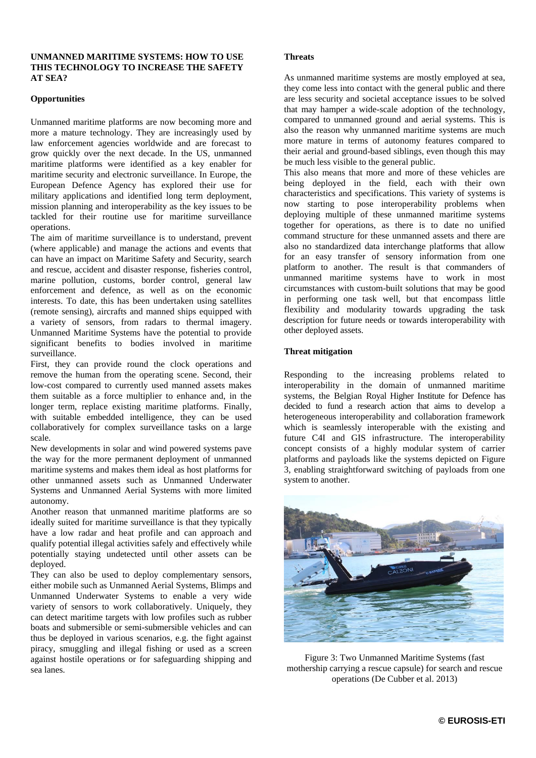### **UNMANNED MARITIME SYSTEMS: HOW TO USE THIS TECHNOLOGY TO INCREASE THE SAFETY AT SEA?**

### **Opportunities**

Unmanned maritime platforms are now becoming more and more a mature technology. They are increasingly used by law enforcement agencies worldwide and are forecast to grow quickly over the next decade. In the US, unmanned maritime platforms were identified as a key enabler for maritime security and electronic surveillance. In Europe, the European Defence Agency has explored their use for military applications and identified long term deployment, mission planning and interoperability as the key issues to be tackled for their routine use for maritime surveillance operations.

The aim of maritime surveillance is to understand, prevent (where applicable) and manage the actions and events that can have an impact on Maritime Safety and Security, search and rescue, accident and disaster response, fisheries control, marine pollution, customs, border control, general law enforcement and defence, as well as on the economic interests. To date, this has been undertaken using satellites (remote sensing), aircrafts and manned ships equipped with a variety of sensors, from radars to thermal imagery. Unmanned Maritime Systems have the potential to provide significant benefits to bodies involved in maritime surveillance.

First, they can provide round the clock operations and remove the human from the operating scene. Second, their low-cost compared to currently used manned assets makes them suitable as a force multiplier to enhance and, in the longer term, replace existing maritime platforms. Finally, with suitable embedded intelligence, they can be used collaboratively for complex surveillance tasks on a large scale.

New developments in solar and wind powered systems pave the way for the more permanent deployment of unmanned maritime systems and makes them ideal as host platforms for other unmanned assets such as Unmanned Underwater Systems and Unmanned Aerial Systems with more limited autonomy.

Another reason that unmanned maritime platforms are so ideally suited for maritime surveillance is that they typically have a low radar and heat profile and can approach and qualify potential illegal activities safely and effectively while potentially staying undetected until other assets can be deployed.

They can also be used to deploy complementary sensors, either mobile such as Unmanned Aerial Systems, Blimps and Unmanned Underwater Systems to enable a very wide variety of sensors to work collaboratively. Uniquely, they can detect maritime targets with low profiles such as rubber boats and submersible or semi-submersible vehicles and can thus be deployed in various scenarios, e.g. the fight against piracy, smuggling and illegal fishing or used as a screen against hostile operations or for safeguarding shipping and sea lanes.

### **Threats**

As unmanned maritime systems are mostly employed at sea, they come less into contact with the general public and there are less security and societal acceptance issues to be solved that may hamper a wide-scale adoption of the technology, compared to unmanned ground and aerial systems. This is also the reason why unmanned maritime systems are much more mature in terms of autonomy features compared to their aerial and ground-based siblings, even though this may be much less visible to the general public.

This also means that more and more of these vehicles are being deployed in the field, each with their own characteristics and specifications. This variety of systems is now starting to pose interoperability problems when deploying multiple of these unmanned maritime systems together for operations, as there is to date no unified command structure for these unmanned assets and there are also no standardized data interchange platforms that allow for an easy transfer of sensory information from one platform to another. The result is that commanders of unmanned maritime systems have to work in most circumstances with custom-built solutions that may be good in performing one task well, but that encompass little flexibility and modularity towards upgrading the task description for future needs or towards interoperability with other deployed assets.

#### **Threat mitigation**

Responding to the increasing problems related to interoperability in the domain of unmanned maritime systems, the Belgian Royal Higher Institute for Defence has decided to fund a research action that aims to develop a heterogeneous interoperability and collaboration framework which is seamlessly interoperable with the existing and future C4I and GIS infrastructure. The interoperability concept consists of a highly modular system of carrier platforms and payloads like the systems depicted on Figure 3, enabling straightforward switching of payloads from one system to another.



Figure 3: Two Unmanned Maritime Systems (fast mothership carrying a rescue capsule) for search and rescue operations (De Cubber et al. 2013)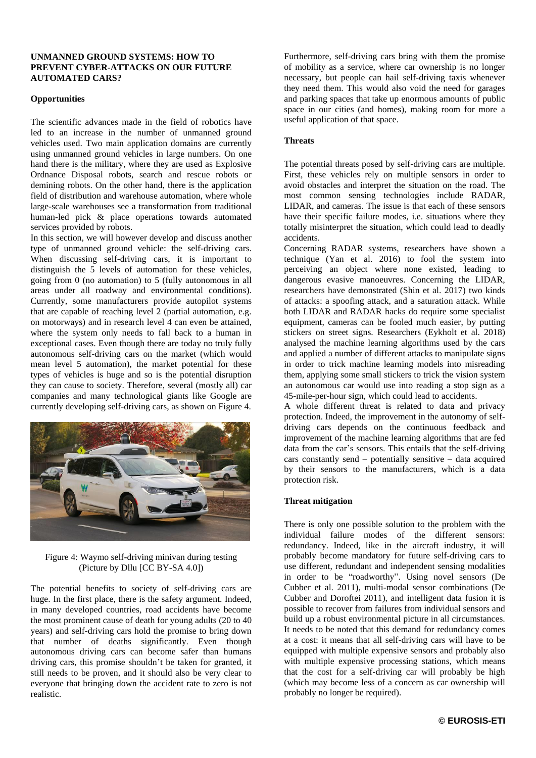### **UNMANNED GROUND SYSTEMS: HOW TO PREVENT CYBER-ATTACKS ON OUR FUTURE AUTOMATED CARS?**

### **Opportunities**

The scientific advances made in the field of robotics have led to an increase in the number of unmanned ground vehicles used. Two main application domains are currently using unmanned ground vehicles in large numbers. On one hand there is the military, where they are used as Explosive Ordnance Disposal robots, search and rescue robots or demining robots. On the other hand, there is the application field of distribution and warehouse automation, where whole large-scale warehouses see a transformation from traditional human-led pick & place operations towards automated services provided by robots.

In this section, we will however develop and discuss another type of unmanned ground vehicle: the self-driving cars. When discussing self-driving cars, it is important to distinguish the 5 levels of automation for these vehicles, going from 0 (no automation) to 5 (fully autonomous in all areas under all roadway and environmental conditions). Currently, some manufacturers provide autopilot systems that are capable of reaching level 2 (partial automation, e.g. on motorways) and in research level 4 can even be attained, where the system only needs to fall back to a human in exceptional cases. Even though there are today no truly fully autonomous self-driving cars on the market (which would mean level 5 automation), the market potential for these types of vehicles is huge and so is the potential disruption they can cause to society. Therefore, several (mostly all) car companies and many technological giants like Google are currently developing self-driving cars, as shown on Figure 4.



Figure 4: Waymo self-driving minivan during testing (Picture by Dllu [CC BY-SA 4.0])

The potential benefits to society of self-driving cars are huge. In the first place, there is the safety argument. Indeed, in many developed countries, road accidents have become the most prominent cause of death for young adults (20 to 40 years) and self-driving cars hold the promise to bring down that number of deaths significantly. Even though autonomous driving cars can become safer than humans driving cars, this promise shouldn't be taken for granted, it still needs to be proven, and it should also be very clear to everyone that bringing down the accident rate to zero is not realistic.

Furthermore, self-driving cars bring with them the promise of mobility as a service, where car ownership is no longer necessary, but people can hail self-driving taxis whenever they need them. This would also void the need for garages and parking spaces that take up enormous amounts of public space in our cities (and homes), making room for more a useful application of that space.

# **Threats**

The potential threats posed by self-driving cars are multiple. First, these vehicles rely on multiple sensors in order to avoid obstacles and interpret the situation on the road. The most common sensing technologies include RADAR, LIDAR, and cameras. The issue is that each of these sensors have their specific failure modes, i.e. situations where they totally misinterpret the situation, which could lead to deadly accidents.

Concerning RADAR systems, researchers have shown a technique (Yan et al. 2016) to fool the system into perceiving an object where none existed, leading to dangerous evasive manoeuvres. Concerning the LIDAR, researchers have demonstrated (Shin et al. 2017) two kinds of attacks: a spoofing attack, and a saturation attack. While both LIDAR and RADAR hacks do require some specialist equipment, cameras can be fooled much easier, by putting stickers on street signs. Researchers (Eykholt et al. 2018) analysed the machine learning algorithms used by the cars and applied a number of different attacks to manipulate signs in order to trick machine learning models into misreading them, applying some small stickers to trick the vision system an autonomous car would use into reading a stop sign as a 45-mile-per-hour sign, which could lead to accidents.

A whole different threat is related to data and privacy protection. Indeed, the improvement in the autonomy of selfdriving cars depends on the continuous feedback and improvement of the machine learning algorithms that are fed data from the car's sensors. This entails that the self-driving cars constantly send – potentially sensitive – data acquired by their sensors to the manufacturers, which is a data protection risk.

# **Threat mitigation**

There is only one possible solution to the problem with the individual failure modes of the different sensors: redundancy. Indeed, like in the aircraft industry, it will probably become mandatory for future self-driving cars to use different, redundant and independent sensing modalities in order to be "roadworthy". Using novel sensors (De Cubber et al. 2011), multi-modal sensor combinations (De Cubber and Doroftei 2011), and intelligent data fusion it is possible to recover from failures from individual sensors and build up a robust environmental picture in all circumstances. It needs to be noted that this demand for redundancy comes at a cost: it means that all self-driving cars will have to be equipped with multiple expensive sensors and probably also with multiple expensive processing stations, which means that the cost for a self-driving car will probably be high (which may become less of a concern as car ownership will probably no longer be required).